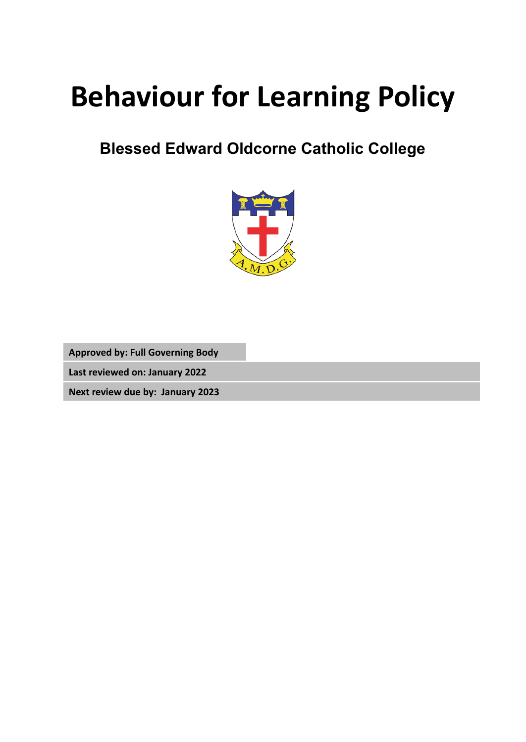# **Behaviour for Learning Policy**

## **Blessed Edward Oldcorne Catholic College**



**Approved by: Full Governing Body**

**Last reviewed on: January 2022**

**Next review due by: January 2023**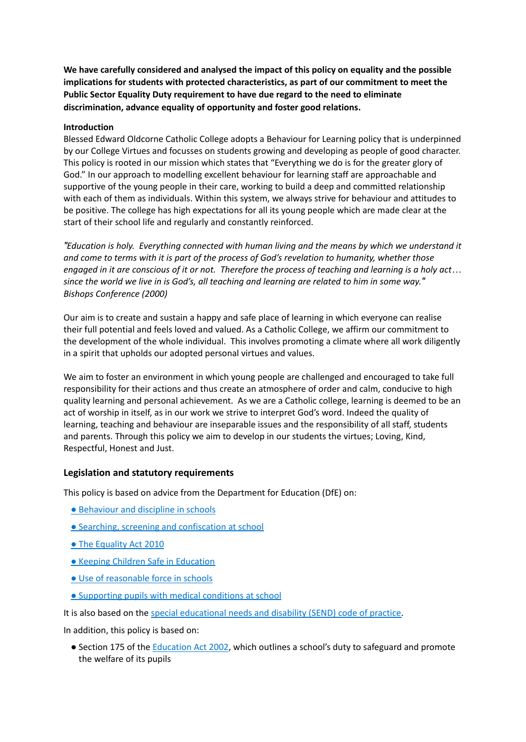**We have carefully considered and analysed the impact of this policy on equality and the possible implications for students with protected characteristics, as part of our commitment to meet the Public Sector Equality Duty requirement to have due regard to the need to eliminate discrimination, advance equality of opportunity and foster good relations.**

#### **Introduction**

Blessed Edward Oldcorne Catholic College adopts a Behaviour for Learning policy that is underpinned by our College Virtues and focusses on students growing and developing as people of good character. This policy is rooted in our mission which states that "Everything we do is for the greater glory of God." In our approach to modelling excellent behaviour for learning staff are approachable and supportive of the young people in their care, working to build a deep and committed relationship with each of them as individuals. Within this system, we always strive for behaviour and attitudes to be positive. The college has high expectations for all its young people which are made clear at the start of their school life and regularly and constantly reinforced.

*″Education is holy. Everything connected with human living and the means by which we understand it and come to terms with it is part of the process of God's revelation to humanity, whether those* engaged in it are conscious of it or not. Therefore the process of teaching and learning is a holy act... since the world we live in is God's, all teaching and learning are related to him in some way." *Bishops Conference (2000)*

Our aim is to create and sustain a happy and safe place of learning in which everyone can realise their full potential and feels loved and valued. As a Catholic College, we affirm our commitment to the development of the whole individual. This involves promoting a climate where all work diligently in a spirit that upholds our adopted personal virtues and values.

We aim to foster an environment in which young people are challenged and encouraged to take full responsibility for their actions and thus create an atmosphere of order and calm, conducive to high quality learning and personal achievement. As we are a Catholic college, learning is deemed to be an act of worship in itself, as in our work we strive to interpret God's word. Indeed the quality of learning, teaching and behaviour are inseparable issues and the responsibility of all staff, students and parents. Through this policy we aim to develop in our students the virtues; Loving, Kind, Respectful, Honest and Just.

#### **Legislation and statutory requirements**

This policy is based on advice from the Department for Education (DfE) on:

- [Behaviour](https://www.gov.uk/government/publications/behaviour-and-discipline-in-schools) and discipline in schools
- Searching, screening and [confiscation](https://www.gov.uk/government/publications/searching-screening-and-confiscation) at school
- The [Equality](https://www.gov.uk/government/publications/equality-act-2010-advice-for-schools) Act 2010
- Keeping Children Safe in [Education](https://www.gov.uk/government/publications/keeping-children-safe-in-education--2)
- Use of [reasonable](https://www.gov.uk/government/publications/use-of-reasonable-force-in-schools) force in schools
- [Supporting](https://www.gov.uk/government/publications/supporting-pupils-at-school-with-medical-conditions--3) pupils with medical conditions at school

It is also based on the special [educational](https://www.gov.uk/government/publications/send-code-of-practice-0-to-25) needs and disability (SEND) code of practice.

In addition, this policy is based on:

● Section 175 of the [Education](http://www.legislation.gov.uk/ukpga/2002/32/section/175) Act 2002, which outlines a school's duty to safeguard and promote the welfare of its pupils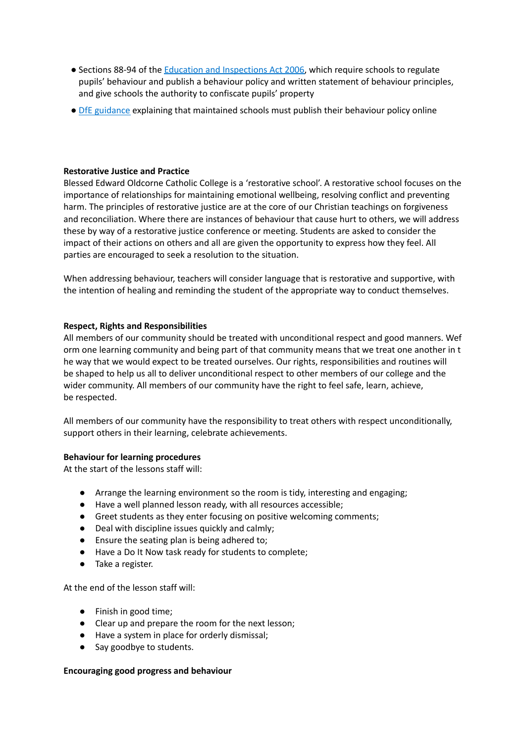- Sections 88-94 of the Education and [Inspections](http://www.legislation.gov.uk/ukpga/2006/40/section/88) Act 2006, which require schools to regulate pupils' behaviour and publish a behaviour policy and written statement of behaviour principles, and give schools the authority to confiscate pupils' property
- **DfE [guidance](https://www.gov.uk/guidance/what-maintained-schools-must-publish-online#behaviour-policy) explaining that maintained schools must publish their behaviour policy online**

#### **Restorative Justice and Practice**

Blessed Edward Oldcorne Catholic College is a 'restorative school'. A restorative school focuses on the importance of relationships for maintaining emotional wellbeing, resolving conflict and preventing harm. The principles of restorative justice are at the core of our Christian teachings on forgiveness and reconciliation. Where there are instances of behaviour that cause hurt to others, we will address these by way of a restorative justice conference or meeting. Students are asked to consider the impact of their actions on others and all are given the opportunity to express how they feel. All parties are encouraged to seek a resolution to the situation.

When addressing behaviour, teachers will consider language that is restorative and supportive, with the intention of healing and reminding the student of the appropriate way to conduct themselves.

#### **Respect, Rights and Responsibilities**

All members of our community should be treated with unconditional respect and good manners. Wef orm one learning community and being part of that community means that we treat one another in t he way that we would expect to be treated ourselves. Our rights, responsibilities and routines will be shaped to help us all to deliver unconditional respect to other members of our college and the wider community. All members of our community have the right to feel safe, learn, achieve, be respected.

All members of our community have the responsibility to treat others with respect unconditionally, support others in their learning, celebrate achievements.

#### **Behaviour for learning procedures**

At the start of the lessons staff will:

- Arrange the learning environment so the room is tidy, interesting and engaging;
- Have a well planned lesson ready, with all resources accessible;
- Greet students as they enter focusing on positive welcoming comments;
- Deal with discipline issues quickly and calmly;
- Ensure the seating plan is being adhered to;
- Have a Do It Now task ready for students to complete;
- Take a register.

At the end of the lesson staff will:

- Finish in good time;
- Clear up and prepare the room for the next lesson;
- Have a system in place for orderly dismissal;
- Say goodbye to students.

#### **Encouraging good progress and behaviour**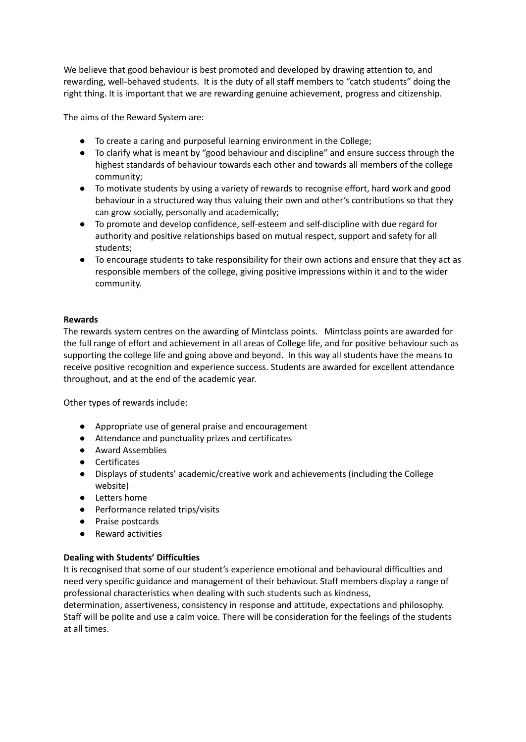We believe that good behaviour is best promoted and developed by drawing attention to, and rewarding, well-behaved students. It is the duty of all staff members to "catch students" doing the right thing. It is important that we are rewarding genuine achievement, progress and citizenship.

The aims of the Reward System are:

- To create a caring and purposeful learning environment in the College;
- To clarify what is meant by "good behaviour and discipline" and ensure success through the highest standards of behaviour towards each other and towards all members of the college community;
- To motivate students by using a variety of rewards to recognise effort, hard work and good behaviour in a structured way thus valuing their own and other's contributions so that they can grow socially, personally and academically;
- To promote and develop confidence, self-esteem and self-discipline with due regard for authority and positive relationships based on mutual respect, support and safety for all students;
- To encourage students to take responsibility for their own actions and ensure that they act as responsible members of the college, giving positive impressions within it and to the wider community.

#### **Rewards**

The rewards system centres on the awarding of Mintclass points. Mintclass points are awarded for the full range of effort and achievement in all areas of College life, and for positive behaviour such as supporting the college life and going above and beyond. In this way all students have the means to receive positive recognition and experience success. Students are awarded for excellent attendance throughout, and at the end of the academic year.

Other types of rewards include:

- Appropriate use of general praise and encouragement
- Attendance and punctuality prizes and certificates
- Award Assemblies
- Certificates
- Displays of students' academic/creative work and achievements (including the College website)
- Letters home
- Performance related trips/visits
- Praise postcards
- Reward activities

#### **Dealing with Students' Difficulties**

It is recognised that some of our student's experience emotional and behavioural difficulties and need very specific guidance and management of their behaviour. Staff members display a range of professional characteristics when dealing with such students such as kindness,

determination, assertiveness, consistency in response and attitude, expectations and philosophy. Staff will be polite and use a calm voice. There will be consideration for the feelings of the students at all times.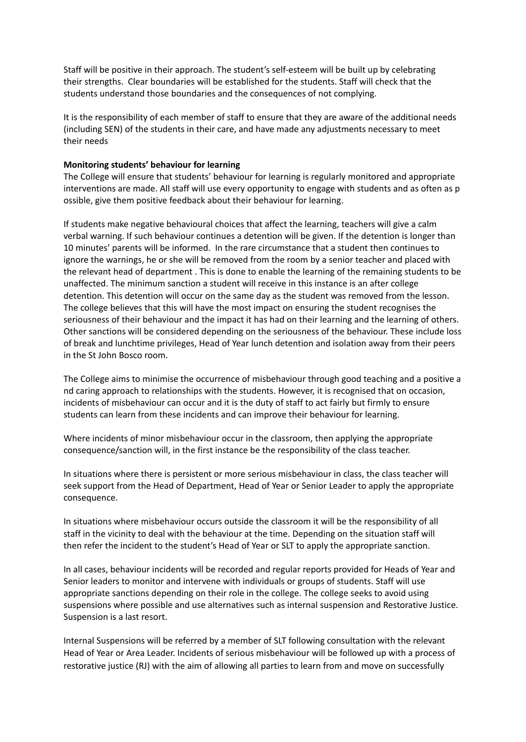Staff will be positive in their approach. The student's self-esteem will be built up by celebrating their strengths. Clear boundaries will be established for the students. Staff will check that the students understand those boundaries and the consequences of not complying.

It is the responsibility of each member of staff to ensure that they are aware of the additional needs (including SEN) of the students in their care, and have made any adjustments necessary to meet their needs

#### **Monitoring students' behaviour for learning**

The College will ensure that students' behaviour for learning is regularly monitored and appropriate interventions are made. All staff will use every opportunity to engage with students and as often as p ossible, give them positive feedback about their behaviour for learning.

If students make negative behavioural choices that affect the learning, teachers will give a calm verbal warning. If such behaviour continues a detention will be given. If the detention is longer than 10 minutes' parents will be informed. In the rare circumstance that a student then continues to ignore the warnings, he or she will be removed from the room by a senior teacher and placed with the relevant head of department . This is done to enable the learning of the remaining students to be unaffected. The minimum sanction a student will receive in this instance is an after college detention. This detention will occur on the same day as the student was removed from the lesson. The college believes that this will have the most impact on ensuring the student recognises the seriousness of their behaviour and the impact it has had on their learning and the learning of others. Other sanctions will be considered depending on the seriousness of the behaviour. These include loss of break and lunchtime privileges, Head of Year lunch detention and isolation away from their peers in the St John Bosco room.

The College aims to minimise the occurrence of misbehaviour through good teaching and a positive a nd caring approach to relationships with the students. However, it is recognised that on occasion, incidents of misbehaviour can occur and it is the duty of staff to act fairly but firmly to ensure students can learn from these incidents and can improve their behaviour for learning.

Where incidents of minor misbehaviour occur in the classroom, then applying the appropriate consequence/sanction will, in the first instance be the responsibility of the class teacher.

In situations where there is persistent or more serious misbehaviour in class, the class teacher will seek support from the Head of Department, Head of Year or Senior Leader to apply the appropriate consequence.

In situations where misbehaviour occurs outside the classroom it will be the responsibility of all staff in the vicinity to deal with the behaviour at the time. Depending on the situation staff will then refer the incident to the student's Head of Year or SLT to apply the appropriate sanction.

In all cases, behaviour incidents will be recorded and regular reports provided for Heads of Year and Senior leaders to monitor and intervene with individuals or groups of students. Staff will use appropriate sanctions depending on their role in the college. The college seeks to avoid using suspensions where possible and use alternatives such as internal suspension and Restorative Justice. Suspension is a last resort.

Internal Suspensions will be referred by a member of SLT following consultation with the relevant Head of Year or Area Leader. Incidents of serious misbehaviour will be followed up with a process of restorative justice (RJ) with the aim of allowing all parties to learn from and move on successfully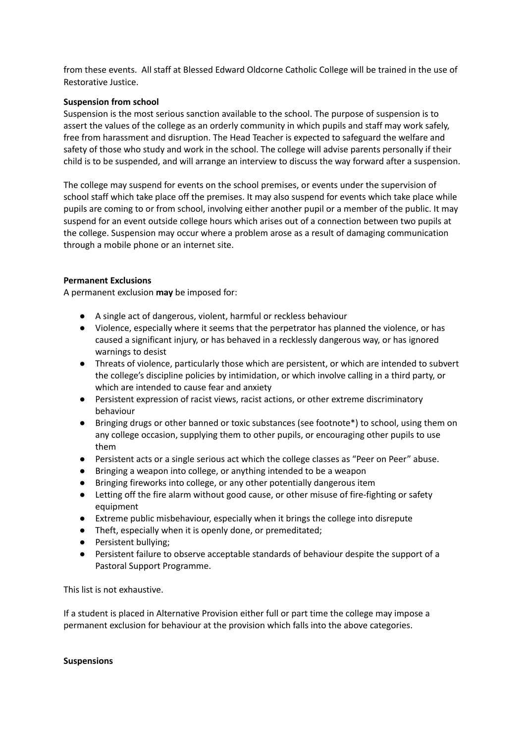from these events. All staff at Blessed Edward Oldcorne Catholic College will be trained in the use of Restorative Justice.

#### **Suspension from school**

Suspension is the most serious sanction available to the school. The purpose of suspension is to assert the values of the college as an orderly community in which pupils and staff may work safely, free from harassment and disruption. The Head Teacher is expected to safeguard the welfare and safety of those who study and work in the school. The college will advise parents personally if their child is to be suspended, and will arrange an interview to discuss the way forward after a suspension.

The college may suspend for events on the school premises, or events under the supervision of school staff which take place off the premises. It may also suspend for events which take place while pupils are coming to or from school, involving either another pupil or a member of the public. It may suspend for an event outside college hours which arises out of a connection between two pupils at the college. Suspension may occur where a problem arose as a result of damaging communication through a mobile phone or an internet site.

#### **Permanent Exclusions**

A permanent exclusion **may** be imposed for:

- A single act of dangerous, violent, harmful or reckless behaviour
- Violence, especially where it seems that the perpetrator has planned the violence, or has caused a significant injury, or has behaved in a recklessly dangerous way, or has ignored warnings to desist
- Threats of violence, particularly those which are persistent, or which are intended to subvert the college's discipline policies by intimidation, or which involve calling in a third party, or which are intended to cause fear and anxiety
- Persistent expression of racist views, racist actions, or other extreme discriminatory behaviour
- Bringing drugs or other banned or toxic substances (see footnote\*) to school, using them on any college occasion, supplying them to other pupils, or encouraging other pupils to use them
- Persistent acts or a single serious act which the college classes as "Peer on Peer" abuse.
- Bringing a weapon into college, or anything intended to be a weapon
- Bringing fireworks into college, or any other potentially dangerous item
- Letting off the fire alarm without good cause, or other misuse of fire-fighting or safety equipment
- Extreme public misbehaviour, especially when it brings the college into disrepute
- Theft, especially when it is openly done, or premeditated;
- Persistent bullying;
- Persistent failure to observe acceptable standards of behaviour despite the support of a Pastoral Support Programme.

This list is not exhaustive.

If a student is placed in Alternative Provision either full or part time the college may impose a permanent exclusion for behaviour at the provision which falls into the above categories.

#### **Suspensions**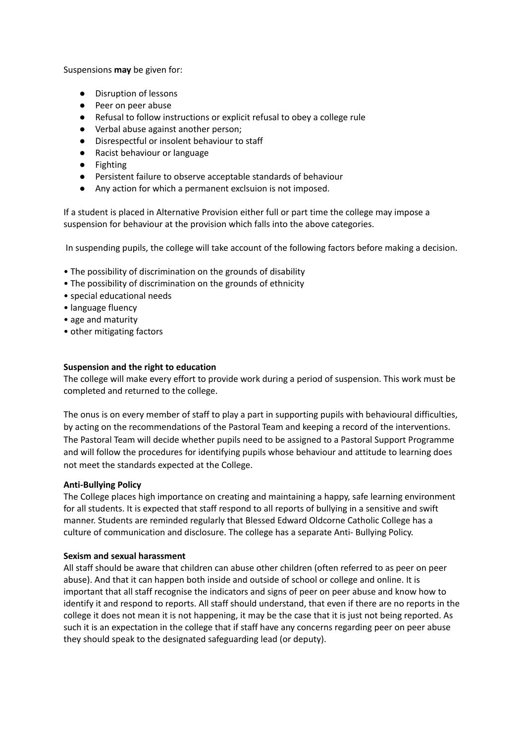Suspensions **may** be given for:

- Disruption of lessons
- Peer on peer abuse
- Refusal to follow instructions or explicit refusal to obey a college rule
- Verbal abuse against another person;
- Disrespectful or insolent behaviour to staff
- Racist behaviour or language
- Fighting
- Persistent failure to observe acceptable standards of behaviour
- Any action for which a permanent exclsuion is not imposed.

If a student is placed in Alternative Provision either full or part time the college may impose a suspension for behaviour at the provision which falls into the above categories.

In suspending pupils, the college will take account of the following factors before making a decision.

- The possibility of discrimination on the grounds of disability
- The possibility of discrimination on the grounds of ethnicity
- special educational needs
- language fluency
- age and maturity
- other mitigating factors

#### **Suspension and the right to education**

The college will make every effort to provide work during a period of suspension. This work must be completed and returned to the college.

The onus is on every member of staff to play a part in supporting pupils with behavioural difficulties, by acting on the recommendations of the Pastoral Team and keeping a record of the interventions. The Pastoral Team will decide whether pupils need to be assigned to a Pastoral Support Programme and will follow the procedures for identifying pupils whose behaviour and attitude to learning does not meet the standards expected at the College.

#### **Anti-Bullying Policy**

The College places high importance on creating and maintaining a happy, safe learning environment for all students. It is expected that staff respond to all reports of bullying in a sensitive and swift manner. Students are reminded regularly that Blessed Edward Oldcorne Catholic College has a culture of communication and disclosure. The college has a separate Anti- Bullying Policy.

#### **Sexism and sexual harassment**

All staff should be aware that children can abuse other children (often referred to as peer on peer abuse). And that it can happen both inside and outside of school or college and online. It is important that all staff recognise the indicators and signs of peer on peer abuse and know how to identify it and respond to reports. All staff should understand, that even if there are no reports in the college it does not mean it is not happening, it may be the case that it is just not being reported. As such it is an expectation in the college that if staff have any concerns regarding peer on peer abuse they should speak to the designated safeguarding lead (or deputy).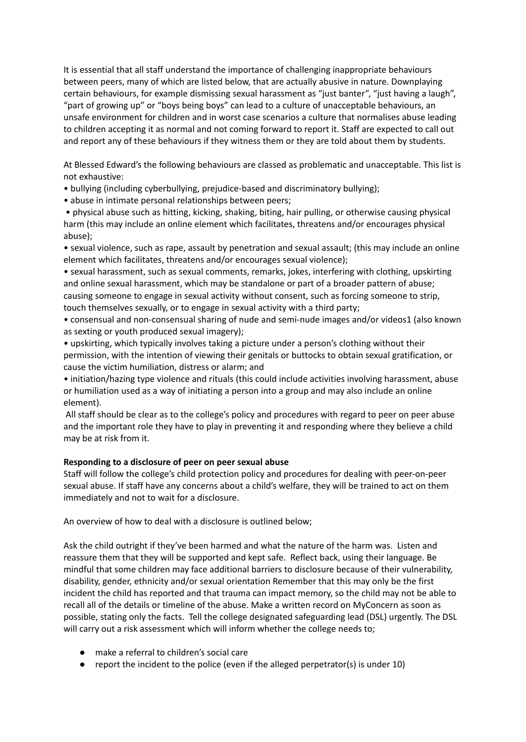It is essential that all staff understand the importance of challenging inappropriate behaviours between peers, many of which are listed below, that are actually abusive in nature. Downplaying certain behaviours, for example dismissing sexual harassment as "just banter", "just having a laugh", "part of growing up" or "boys being boys" can lead to a culture of unacceptable behaviours, an unsafe environment for children and in worst case scenarios a culture that normalises abuse leading to children accepting it as normal and not coming forward to report it. Staff are expected to call out and report any of these behaviours if they witness them or they are told about them by students.

At Blessed Edward's the following behaviours are classed as problematic and unacceptable. This list is not exhaustive:

- bullying (including cyberbullying, prejudice-based and discriminatory bullying);
- abuse in intimate personal relationships between peers;

• physical abuse such as hitting, kicking, shaking, biting, hair pulling, or otherwise causing physical harm (this may include an online element which facilitates, threatens and/or encourages physical abuse);

• sexual violence, such as rape, assault by penetration and sexual assault; (this may include an online element which facilitates, threatens and/or encourages sexual violence);

• sexual harassment, such as sexual comments, remarks, jokes, interfering with clothing, upskirting and online sexual harassment, which may be standalone or part of a broader pattern of abuse; causing someone to engage in sexual activity without consent, such as forcing someone to strip, touch themselves sexually, or to engage in sexual activity with a third party;

- consensual and non-consensual sharing of nude and semi-nude images and/or videos1 (also known as sexting or youth produced sexual imagery);
- upskirting, which typically involves taking a picture under a person's clothing without their permission, with the intention of viewing their genitals or buttocks to obtain sexual gratification, or cause the victim humiliation, distress or alarm; and

• initiation/hazing type violence and rituals (this could include activities involving harassment, abuse or humiliation used as a way of initiating a person into a group and may also include an online element).

All staff should be clear as to the college's policy and procedures with regard to peer on peer abuse and the important role they have to play in preventing it and responding where they believe a child may be at risk from it.

#### **Responding to a disclosure of peer on peer sexual abuse**

Staff will follow the college's child protection policy and procedures for dealing with peer-on-peer sexual abuse. If staff have any concerns about a child's welfare, they will be trained to act on them immediately and not to wait for a disclosure.

An overview of how to deal with a disclosure is outlined below;

Ask the child outright if they've been harmed and what the nature of the harm was. Listen and reassure them that they will be supported and kept safe. Reflect back, using their language. Be mindful that some children may face additional barriers to disclosure because of their vulnerability, disability, gender, ethnicity and/or sexual orientation Remember that this may only be the first incident the child has reported and that trauma can impact memory, so the child may not be able to recall all of the details or timeline of the abuse. Make a written record on MyConcern as soon as possible, stating only the facts. Tell the college designated safeguarding lead (DSL) urgently. The DSL will carry out a risk assessment which will inform whether the college needs to;

- make a referral to children's social care
- report the incident to the police (even if the alleged perpetrator(s) is under 10)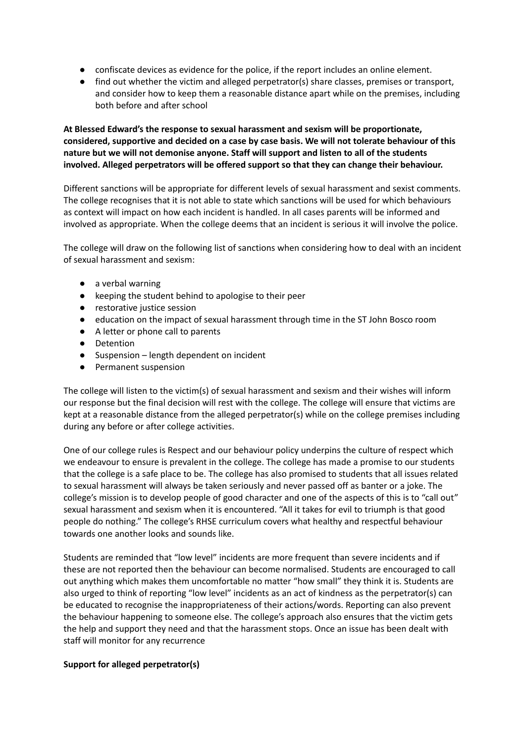- confiscate devices as evidence for the police, if the report includes an online element.
- find out whether the victim and alleged perpetrator(s) share classes, premises or transport, and consider how to keep them a reasonable distance apart while on the premises, including both before and after school

**At Blessed Edward's the response to sexual harassment and sexism will be proportionate, considered, supportive and decided on a case by case basis. We will not tolerate behaviour of this nature but we will not demonise anyone. Staff will support and listen to all of the students involved. Alleged perpetrators will be offered support so that they can change their behaviour.**

Different sanctions will be appropriate for different levels of sexual harassment and sexist comments. The college recognises that it is not able to state which sanctions will be used for which behaviours as context will impact on how each incident is handled. In all cases parents will be informed and involved as appropriate. When the college deems that an incident is serious it will involve the police.

The college will draw on the following list of sanctions when considering how to deal with an incident of sexual harassment and sexism:

- a verbal warning
- keeping the student behind to apologise to their peer
- restorative justice session
- education on the impact of sexual harassment through time in the ST John Bosco room
- A letter or phone call to parents
- Detention
- Suspension length dependent on incident
- Permanent suspension

The college will listen to the victim(s) of sexual harassment and sexism and their wishes will inform our response but the final decision will rest with the college. The college will ensure that victims are kept at a reasonable distance from the alleged perpetrator(s) while on the college premises including during any before or after college activities.

One of our college rules is Respect and our behaviour policy underpins the culture of respect which we endeavour to ensure is prevalent in the college. The college has made a promise to our students that the college is a safe place to be. The college has also promised to students that all issues related to sexual harassment will always be taken seriously and never passed off as banter or a joke. The college's mission is to develop people of good character and one of the aspects of this is to "call out" sexual harassment and sexism when it is encountered. "All it takes for evil to triumph is that good people do nothing." The college's RHSE curriculum covers what healthy and respectful behaviour towards one another looks and sounds like.

Students are reminded that "low level" incidents are more frequent than severe incidents and if these are not reported then the behaviour can become normalised. Students are encouraged to call out anything which makes them uncomfortable no matter "how small" they think it is. Students are also urged to think of reporting "low level" incidents as an act of kindness as the perpetrator(s) can be educated to recognise the inappropriateness of their actions/words. Reporting can also prevent the behaviour happening to someone else. The college's approach also ensures that the victim gets the help and support they need and that the harassment stops. Once an issue has been dealt with staff will monitor for any recurrence

#### **Support for alleged perpetrator(s)**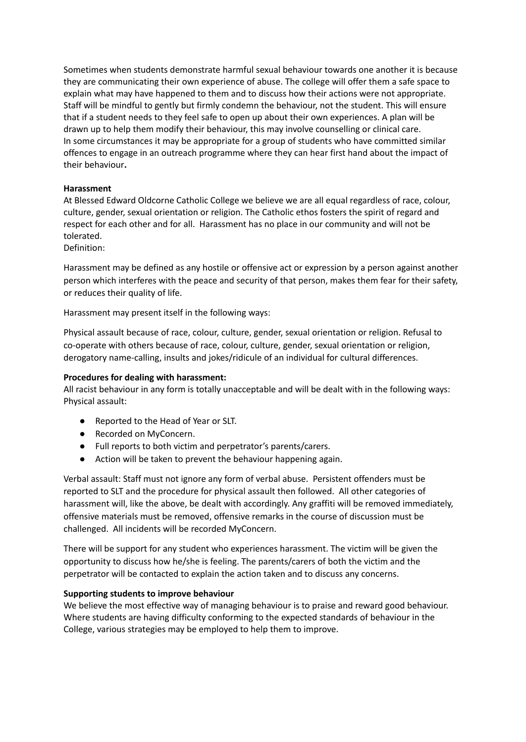Sometimes when students demonstrate harmful sexual behaviour towards one another it is because they are communicating their own experience of abuse. The college will offer them a safe space to explain what may have happened to them and to discuss how their actions were not appropriate. Staff will be mindful to gently but firmly condemn the behaviour, not the student. This will ensure that if a student needs to they feel safe to open up about their own experiences. A plan will be drawn up to help them modify their behaviour, this may involve counselling or clinical care. In some circumstances it may be appropriate for a group of students who have committed similar offences to engage in an outreach programme where they can hear first hand about the impact of their behaviour**.**

#### **Harassment**

At Blessed Edward Oldcorne Catholic College we believe we are all equal regardless of race, colour, culture, gender, sexual orientation or religion. The Catholic ethos fosters the spirit of regard and respect for each other and for all. Harassment has no place in our community and will not be tolerated.

Definition:

Harassment may be defined as any hostile or offensive act or expression by a person against another person which interferes with the peace and security of that person, makes them fear for their safety, or reduces their quality of life.

Harassment may present itself in the following ways:

Physical assault because of race, colour, culture, gender, sexual orientation or religion. Refusal to co-operate with others because of race, colour, culture, gender, sexual orientation or religion, derogatory name-calling, insults and jokes/ridicule of an individual for cultural differences.

#### **Procedures for dealing with harassment:**

All racist behaviour in any form is totally unacceptable and will be dealt with in the following ways: Physical assault:

- Reported to the Head of Year or SLT.
- Recorded on MyConcern.
- Full reports to both victim and perpetrator's parents/carers.
- Action will be taken to prevent the behaviour happening again.

Verbal assault: Staff must not ignore any form of verbal abuse. Persistent offenders must be reported to SLT and the procedure for physical assault then followed. All other categories of harassment will, like the above, be dealt with accordingly. Any graffiti will be removed immediately, offensive materials must be removed, offensive remarks in the course of discussion must be challenged. All incidents will be recorded MyConcern.

There will be support for any student who experiences harassment. The victim will be given the opportunity to discuss how he/she is feeling. The parents/carers of both the victim and the perpetrator will be contacted to explain the action taken and to discuss any concerns.

#### **Supporting students to improve behaviour**

We believe the most effective way of managing behaviour is to praise and reward good behaviour. Where students are having difficulty conforming to the expected standards of behaviour in the College, various strategies may be employed to help them to improve.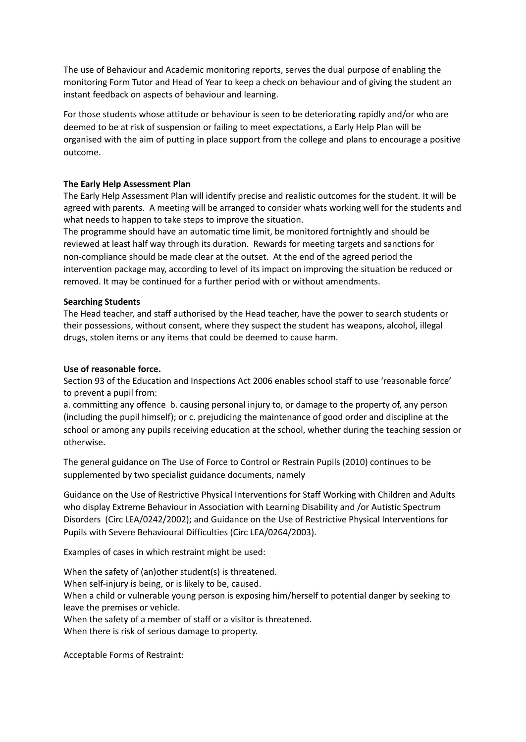The use of Behaviour and Academic monitoring reports, serves the dual purpose of enabling the monitoring Form Tutor and Head of Year to keep a check on behaviour and of giving the student an instant feedback on aspects of behaviour and learning.

For those students whose attitude or behaviour is seen to be deteriorating rapidly and/or who are deemed to be at risk of suspension or failing to meet expectations, a Early Help Plan will be organised with the aim of putting in place support from the college and plans to encourage a positive outcome.

#### **The Early Help Assessment Plan**

The Early Help Assessment Plan will identify precise and realistic outcomes for the student. It will be agreed with parents. A meeting will be arranged to consider whats working well for the students and what needs to happen to take steps to improve the situation.

The programme should have an automatic time limit, be monitored fortnightly and should be reviewed at least half way through its duration. Rewards for meeting targets and sanctions for non-compliance should be made clear at the outset. At the end of the agreed period the intervention package may, according to level of its impact on improving the situation be reduced or removed. It may be continued for a further period with or without amendments.

#### **Searching Students**

The Head teacher, and staff authorised by the Head teacher, have the power to search students or their possessions, without consent, where they suspect the student has weapons, alcohol, illegal drugs, stolen items or any items that could be deemed to cause harm.

#### **Use of reasonable force.**

Section 93 of the Education and Inspections Act 2006 enables school staff to use 'reasonable force' to prevent a pupil from:

a. committing any offence b. causing personal injury to, or damage to the property of, any person (including the pupil himself); or c. prejudicing the maintenance of good order and discipline at the school or among any pupils receiving education at the school, whether during the teaching session or otherwise.

The general guidance on The Use of Force to Control or Restrain Pupils (2010) continues to be supplemented by two specialist guidance documents, namely

Guidance on the Use of Restrictive Physical Interventions for Staff Working with Children and Adults who display Extreme Behaviour in Association with Learning Disability and /or Autistic Spectrum Disorders (Circ LEA/0242/2002); and Guidance on the Use of Restrictive Physical Interventions for Pupils with Severe Behavioural Difficulties (Circ LEA/0264/2003).

Examples of cases in which restraint might be used:

When the safety of (an)other student(s) is threatened. When self-injury is being, or is likely to be, caused. When a child or vulnerable young person is exposing him/herself to potential danger by seeking to leave the premises or vehicle. When the safety of a member of staff or a visitor is threatened.

When there is risk of serious damage to property.

Acceptable Forms of Restraint: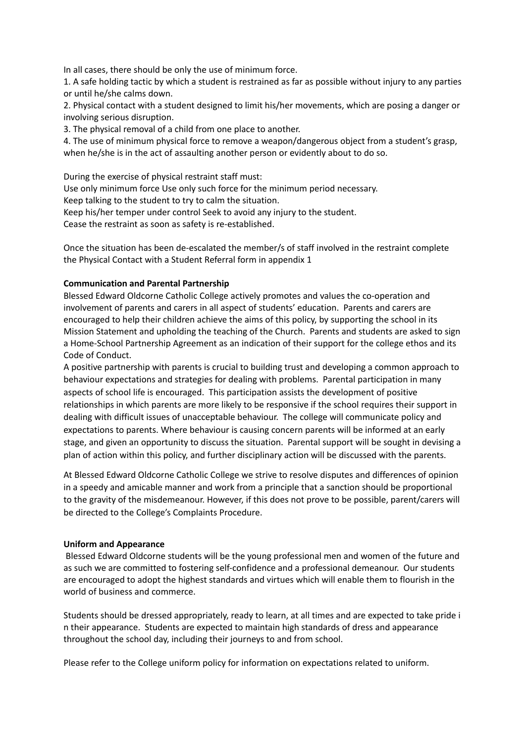In all cases, there should be only the use of minimum force.

1. A safe holding tactic by which a student is restrained as far as possible without injury to any parties or until he/she calms down.

2. Physical contact with a student designed to limit his/her movements, which are posing a danger or involving serious disruption.

3. The physical removal of a child from one place to another.

4. The use of minimum physical force to remove a weapon/dangerous object from a student's grasp, when he/she is in the act of assaulting another person or evidently about to do so.

During the exercise of physical restraint staff must:

Use only minimum force Use only such force for the minimum period necessary.

Keep talking to the student to try to calm the situation.

Keep his/her temper under control Seek to avoid any injury to the student.

Cease the restraint as soon as safety is re-established.

Once the situation has been de-escalated the member/s of staff involved in the restraint complete the Physical Contact with a Student Referral form in appendix 1

#### **Communication and Parental Partnership**

Blessed Edward Oldcorne Catholic College actively promotes and values the co-operation and involvement of parents and carers in all aspect of students' education. Parents and carers are encouraged to help their children achieve the aims of this policy, by supporting the school in its Mission Statement and upholding the teaching of the Church. Parents and students are asked to sign a Home-School Partnership Agreement as an indication of their support for the college ethos and its Code of Conduct.

A positive partnership with parents is crucial to building trust and developing a common approach to behaviour expectations and strategies for dealing with problems. Parental participation in many aspects of school life is encouraged. This participation assists the development of positive relationships in which parents are more likely to be responsive if the school requires their support in dealing with difficult issues of unacceptable behaviour. The college will communicate policy and expectations to parents. Where behaviour is causing concern parents will be informed at an early stage, and given an opportunity to discuss the situation. Parental support will be sought in devising a plan of action within this policy, and further disciplinary action will be discussed with the parents.

At Blessed Edward Oldcorne Catholic College we strive to resolve disputes and differences of opinion in a speedy and amicable manner and work from a principle that a sanction should be proportional to the gravity of the misdemeanour. However, if this does not prove to be possible, parent/carers will be directed to the College's Complaints Procedure.

#### **Uniform and Appearance**

Blessed Edward Oldcorne students will be the young professional men and women of the future and as such we are committed to fostering self-confidence and a professional demeanour. Our students are encouraged to adopt the highest standards and virtues which will enable them to flourish in the world of business and commerce.

Students should be dressed appropriately, ready to learn, at all times and are expected to take pride i n their appearance. Students are expected to maintain high standards of dress and appearance throughout the school day, including their journeys to and from school.

Please refer to the College uniform policy for information on expectations related to uniform.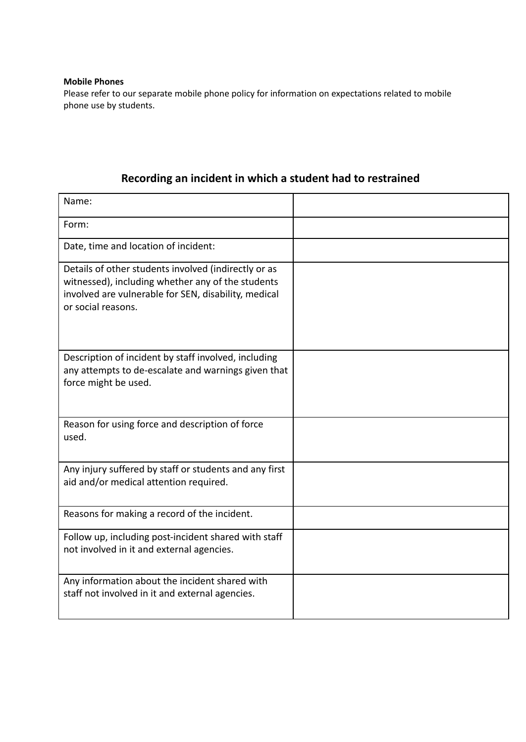#### **Mobile Phones**

Please refer to our separate mobile phone policy for information on expectations related to mobile phone use by students.

### **Recording an incident in which a student had to restrained**

| Name:                                                                                                                                                                                   |  |
|-----------------------------------------------------------------------------------------------------------------------------------------------------------------------------------------|--|
| Form:                                                                                                                                                                                   |  |
| Date, time and location of incident:                                                                                                                                                    |  |
| Details of other students involved (indirectly or as<br>witnessed), including whether any of the students<br>involved are vulnerable for SEN, disability, medical<br>or social reasons. |  |
| Description of incident by staff involved, including<br>any attempts to de-escalate and warnings given that<br>force might be used.                                                     |  |
| Reason for using force and description of force<br>used.                                                                                                                                |  |
| Any injury suffered by staff or students and any first<br>aid and/or medical attention required.                                                                                        |  |
| Reasons for making a record of the incident.                                                                                                                                            |  |
| Follow up, including post-incident shared with staff<br>not involved in it and external agencies.                                                                                       |  |
| Any information about the incident shared with<br>staff not involved in it and external agencies.                                                                                       |  |